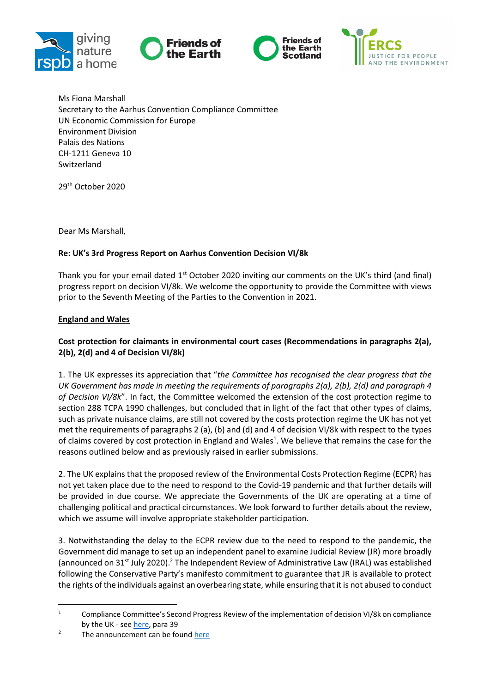







Ms Fiona Marshall Secretary to the Aarhus Convention Compliance Committee UN Economic Commission for Europe Environment Division Palais des Nations CH-1211 Geneva 10 Switzerland

29<sup>th</sup> October 2020

Dear Ms Marshall,

### **Re: UK's 3rd Progress Report on Aarhus Convention Decision VI/8k**

Thank you for your email dated  $1<sup>st</sup>$  October 2020 inviting our comments on the UK's third (and final) progress report on decision VI/8k. We welcome the opportunity to provide the Committee with views prior to the Seventh Meeting of the Parties to the Convention in 2021.

### **England and Wales**

# **Cost protection for claimants in environmental court cases (Recommendations in paragraphs 2(a), 2(b), 2(d) and 4 of Decision VI/8k)**

1. The UK expresses its appreciation that "*the Committee has recognised the clear progress that the UK Government has made in meeting the requirements of paragraphs 2(a), 2(b), 2(d) and paragraph 4 of Decision VI/8k*". In fact, the Committee welcomed the extension of the cost protection regime to section 288 TCPA 1990 challenges, but concluded that in light of the fact that other types of claims, such as private nuisance claims, are still not covered by the costs protection regime the UK has not yet met the requirements of paragraphs 2 (a), (b) and (d) and 4 of decision VI/8k with respect to the types of claims covered by cost protection in England and Wales<sup>1</sup>. We believe that remains the case for the reasons outlined below and as previously raised in earlier submissions.

2. The UK explains that the proposed review of the Environmental Costs Protection Regime (ECPR) has not yet taken place due to the need to respond to the Covid-19 pandemic and that further details will be provided in due course. We appreciate the Governments of the UK are operating at a time of challenging political and practical circumstances. We look forward to further details about the review, which we assume will involve appropriate stakeholder participation.

3. Notwithstanding the delay to the ECPR review due to the need to respond to the pandemic, the Government did manage to set up an independent panel to examine Judicial Review (JR) more broadly (announced on 31<sup>st</sup> July 2020).<sup>2</sup> The Independent Review of Administrative Law (IRAL) was established following the Conservative Party's manifesto commitment to guarantee that JR is available to protect the rights of the individuals against an overbearing state, while ensuring that it is not abused to conduct

<sup>&</sup>lt;sup>1</sup> Compliance Committee's Second Progress Review of the implementation of decision VI/8k on compliance by the UK - se[e here,](https://www.unece.org/fileadmin/DAM/env/pp/compliance/MoP6decisions/VI.8k_UK/Correspondence_with_the_Party_concerned/Second_progress_report/Second_progress_review_on_VI.8k_UK_adopted.pdf) para 39

 $2^2$  The announcement can be found [here](https://www.gov.uk/government/news/government-launches-independent-panel-to-look-at-judicial-review)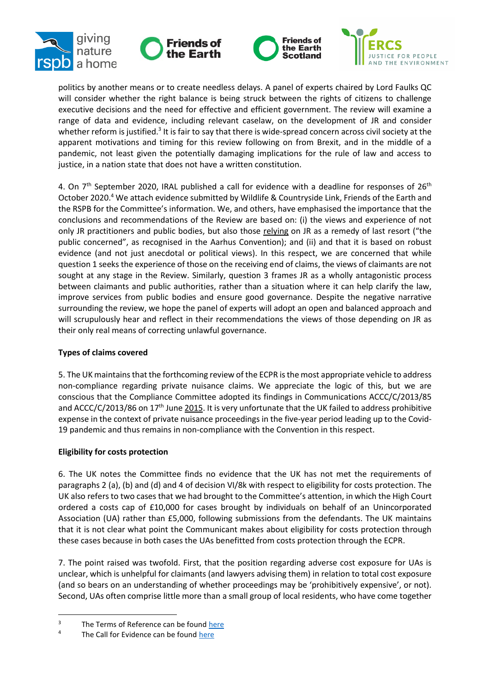







politics by another means or to create needless delays. A panel of experts chaired by Lord Faulks QC will consider whether the right balance is being struck between the rights of citizens to challenge executive decisions and the need for effective and efficient government. The review will examine a range of data and evidence, including relevant caselaw, on the development of JR and consider whether reform is justified.<sup>3</sup> It is fair to say that there is wide-spread concern across civil society at the apparent motivations and timing for this review following on from Brexit, and in the middle of a pandemic, not least given the potentially damaging implications for the rule of law and access to justice, in a nation state that does not have a written constitution.

4. On  $7<sup>th</sup>$  September 2020, IRAL published a call for evidence with a deadline for responses of 26<sup>th</sup> October 2020.<sup>4</sup> We attach evidence submitted by Wildlife & Countryside Link, Friends of the Earth and the RSPB for the Committee's information. We, and others, have emphasised the importance that the conclusions and recommendations of the Review are based on: (i) the views and experience of not only JR practitioners and public bodies, but also those relying on JR as a remedy of last resort ("the public concerned", as recognised in the Aarhus Convention); and (ii) and that it is based on robust evidence (and not just anecdotal or political views). In this respect, we are concerned that while question 1 seeks the experience of those on the receiving end of claims, the views of claimants are not sought at any stage in the Review. Similarly, question 3 frames JR as a wholly antagonistic process between claimants and public authorities, rather than a situation where it can help clarify the law, improve services from public bodies and ensure good governance. Despite the negative narrative surrounding the review, we hope the panel of experts will adopt an open and balanced approach and will scrupulously hear and reflect in their recommendations the views of those depending on JR as their only real means of correcting unlawful governance.

# **Types of claims covered**

5. The UK maintains that the forthcoming review of the ECPR is the most appropriate vehicle to address non-compliance regarding private nuisance claims. We appreciate the logic of this, but we are conscious that the Compliance Committee adopted its findings in Communications ACCC/C/2013/85 and ACCC/C/2013/86 on 17<sup>th</sup> June 2015. It is very unfortunate that the UK failed to address prohibitive expense in the context of private nuisance proceedings in the five-year period leading up to the Covid-19 pandemic and thus remains in non-compliance with the Convention in this respect.

# **Eligibility for costs protection**

6. The UK notes the Committee finds no evidence that the UK has not met the requirements of paragraphs 2 (a), (b) and (d) and 4 of decision VI/8k with respect to eligibility for costs protection. The UK also refers to two cases that we had brought to the Committee's attention, in which the High Court ordered a costs cap of £10,000 for cases brought by individuals on behalf of an Unincorporated Association (UA) rather than £5,000, following submissions from the defendants. The UK maintains that it is not clear what point the Communicant makes about eligibility for costs protection through these cases because in both cases the UAs benefitted from costs protection through the ECPR.

7. The point raised was twofold. First, that the position regarding adverse cost exposure for UAs is unclear, which is unhelpful for claimants (and lawyers advising them) in relation to total cost exposure (and so bears on an understanding of whether proceedings may be 'prohibitively expensive', or not). Second, UAs often comprise little more than a small group of local residents, who have come together

 $3$  The Terms of Reference can be foun[d here](https://www.gov.uk/government/news/government-launches-independent-panel-to-look-at-judicial-review)<br> $4$  The Call for Evidence can be found here

The Call for Evidence can be foun[d here](https://assets.publishing.service.gov.uk/government/uploads/system/uploads/attachment_data/file/915905/IRAL-call-for-evidence.pdf)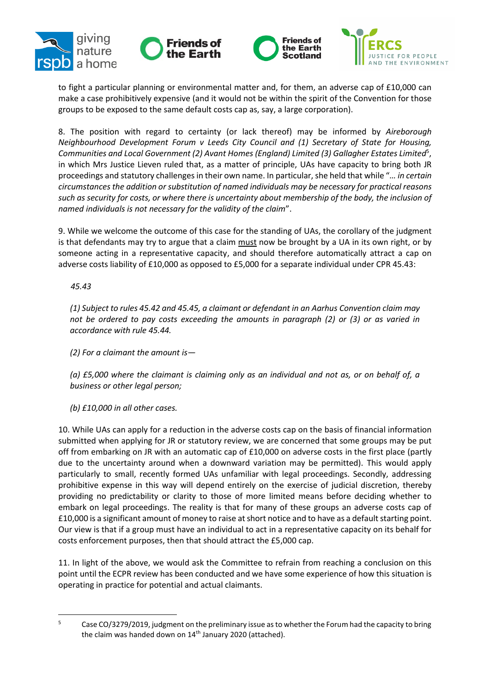







to fight a particular planning or environmental matter and, for them, an adverse cap of £10,000 can make a case prohibitively expensive (and it would not be within the spirit of the Convention for those groups to be exposed to the same default costs cap as, say, a large corporation).

8. The position with regard to certainty (or lack thereof) may be informed by *Aireborough Neighbourhood Development Forum v Leeds City Council and (1) Secretary of State for Housing,*  Communities and Local Government (2) Avant Homes (England) Limited (3) Gallagher Estates Limited<sup>5</sup>, in which Mrs Justice Lieven ruled that, as a matter of principle, UAs have capacity to bring both JR proceedings and statutory challenges in their own name. In particular, she held that while "*… in certain circumstances the addition or substitution of named individuals may be necessary for practical reasons such as security for costs, or where there is uncertainty about membership of the body, the inclusion of named individuals is not necessary for the validity of the claim*".

9. While we welcome the outcome of this case for the standing of UAs, the corollary of the judgment is that defendants may try to argue that a claim must now be brought by a UA in its own right, or by someone acting in a representative capacity, and should therefore automatically attract a cap on adverse costs liability of £10,000 as opposed to £5,000 for a separate individual under CPR 45.43:

 *45.43*

*(1) Subject to rules 45.42 and 45.45, a claimant or defendant in an Aarhus Convention claim may not be ordered to pay costs exceeding the amounts in paragraph (2) or (3) or as varied in accordance with rule 45.44.*

*(2) For a claimant the amount is—*

*(a) £5,000 where the claimant is claiming only as an individual and not as, or on behalf of, a business or other legal person;*

*(b) £10,000 in all other cases.*

10. While UAs can apply for a reduction in the adverse costs cap on the basis of financial information submitted when applying for JR or statutory review, we are concerned that some groups may be put off from embarking on JR with an automatic cap of £10,000 on adverse costs in the first place (partly due to the uncertainty around when a downward variation may be permitted). This would apply particularly to small, recently formed UAs unfamiliar with legal proceedings. Secondly, addressing prohibitive expense in this way will depend entirely on the exercise of judicial discretion, thereby providing no predictability or clarity to those of more limited means before deciding whether to embark on legal proceedings. The reality is that for many of these groups an adverse costs cap of £10,000 is a significant amount of money to raise at short notice and to have as a default starting point. Our view is that if a group must have an individual to act in a representative capacity on its behalf for costs enforcement purposes, then that should attract the £5,000 cap.

11. In light of the above, we would ask the Committee to refrain from reaching a conclusion on this point until the ECPR review has been conducted and we have some experience of how this situation is operating in practice for potential and actual claimants.

<sup>&</sup>lt;sup>5</sup> Case CO/3279/2019, judgment on the preliminary issue as to whether the Forum had the capacity to bring the claim was handed down on 14<sup>th</sup> January 2020 (attached).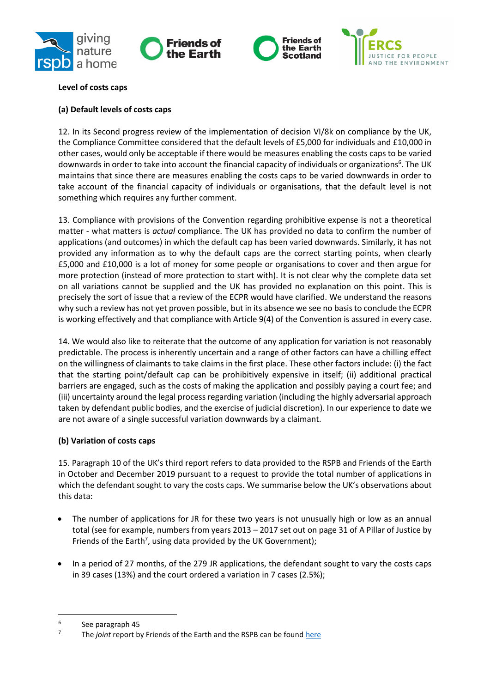







## **Level of costs caps**

### **(a) Default levels of costs caps**

12. In its Second progress review of the implementation of decision VI/8k on compliance by the UK, the Compliance Committee considered that the default levels of £5,000 for individuals and £10,000 in other cases, would only be acceptable if there would be measures enabling the costs caps to be varied downwards in order to take into account the financial capacity of individuals or organizations<sup>6</sup>. The UK maintains that since there are measures enabling the costs caps to be varied downwards in order to take account of the financial capacity of individuals or organisations, that the default level is not something which requires any further comment.

13. Compliance with provisions of the Convention regarding prohibitive expense is not a theoretical matter - what matters is *actual* compliance. The UK has provided no data to confirm the number of applications (and outcomes) in which the default cap has been varied downwards. Similarly, it has not provided any information as to why the default caps are the correct starting points, when clearly £5,000 and £10,000 is a lot of money for some people or organisations to cover and then argue for more protection (instead of more protection to start with). It is not clear why the complete data set on all variations cannot be supplied and the UK has provided no explanation on this point. This is precisely the sort of issue that a review of the ECPR would have clarified. We understand the reasons why such a review has not yet proven possible, but in its absence we see no basis to conclude the ECPR is working effectively and that compliance with Article 9(4) of the Convention is assured in every case.

14. We would also like to reiterate that the outcome of any application for variation is not reasonably predictable. The process is inherently uncertain and a range of other factors can have a chilling effect on the willingness of claimants to take claims in the first place. These other factors include: (i) the fact that the starting point/default cap can be prohibitively expensive in itself; (ii) additional practical barriers are engaged, such as the costs of making the application and possibly paying a court fee; and (iii) uncertainty around the legal process regarding variation (including the highly adversarial approach taken by defendant public bodies, and the exercise of judicial discretion). In our experience to date we are not aware of a single successful variation downwards by a claimant.

# **(b) Variation of costs caps**

15. Paragraph 10 of the UK's third report refers to data provided to the RSPB and Friends of the Earth in October and December 2019 pursuant to a request to provide the total number of applications in which the defendant sought to vary the costs caps. We summarise below the UK's observations about this data:

- The number of applications for JR for these two years is not unusually high or low as an annual total (see for example, numbers from years 2013 – 2017 set out on page 31 of A Pillar of Justice by Friends of the Earth<sup>7</sup>, using data provided by the UK Government);
- In a period of 27 months, of the 279 JR applications, the defendant sought to vary the costs caps in 39 cases (13%) and the court ordered a variation in 7 cases (2.5%);

<sup>6</sup> See paragraph 45

<sup>&</sup>lt;sup>7</sup> The *joint* report by Friends of the Earth and the RSPB can be found [here](file:///C:/Users/Carol%20Day/Documents/The%20number%20of%20applications%20for%20judicial%20review%20identified%20as%20Aarhus%20Convention)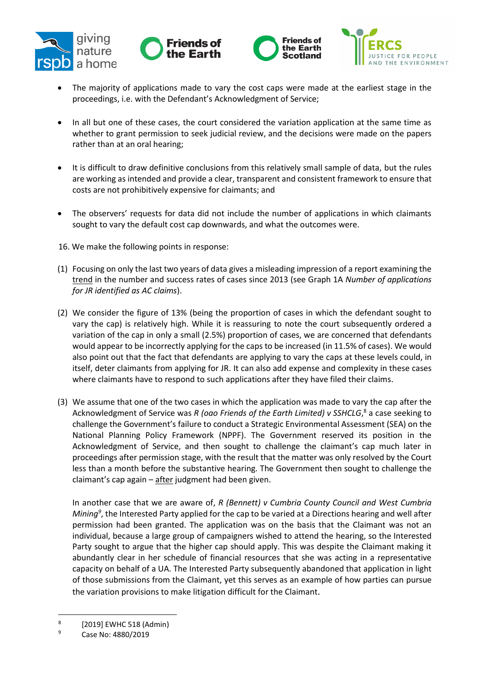







- The majority of applications made to vary the cost caps were made at the earliest stage in the proceedings, i.e. with the Defendant's Acknowledgment of Service;
- In all but one of these cases, the court considered the variation application at the same time as whether to grant permission to seek judicial review, and the decisions were made on the papers rather than at an oral hearing;
- It is difficult to draw definitive conclusions from this relatively small sample of data, but the rules are working as intended and provide a clear, transparent and consistent framework to ensure that costs are not prohibitively expensive for claimants; and
- The observers' requests for data did not include the number of applications in which claimants sought to vary the default cost cap downwards, and what the outcomes were.
- 16. We make the following points in response:
- (1) Focusing on only the last two years of data gives a misleading impression of a report examining the trend in the number and success rates of cases since 2013 (see Graph 1A *Number of applications for JR identified as AC claims*).
- (2) We consider the figure of 13% (being the proportion of cases in which the defendant sought to vary the cap) is relatively high. While it is reassuring to note the court subsequently ordered a variation of the cap in only a small (2.5%) proportion of cases, we are concerned that defendants would appear to be incorrectly applying for the caps to be increased (in 11.5% of cases). We would also point out that the fact that defendants are applying to vary the caps at these levels could, in itself, deter claimants from applying for JR. It can also add expense and complexity in these cases where claimants have to respond to such applications after they have filed their claims.
- (3) We assume that one of the two cases in which the application was made to vary the cap after the Acknowledgment of Service was *R (oao Friends of the Earth Limited) v SSHCLG*, <sup>8</sup> a case seeking to challenge the Government's failure to conduct a Strategic Environmental Assessment (SEA) on the National Planning Policy Framework (NPPF). The Government reserved its position in the Acknowledgment of Service, and then sought to challenge the claimant's cap much later in proceedings after permission stage, with the result that the matter was only resolved by the Court less than a month before the substantive hearing. The Government then sought to challenge the claimant's cap again  $-\frac{after}{text}$  judgment had been given.

In another case that we are aware of, *R (Bennett) v Cumbria County Council and West Cumbria Mining<sup>9</sup>* , the Interested Party applied for the cap to be varied at a Directions hearing and well after permission had been granted. The application was on the basis that the Claimant was not an individual, because a large group of campaigners wished to attend the hearing, so the Interested Party sought to argue that the higher cap should apply. This was despite the Claimant making it abundantly clear in her schedule of financial resources that she was acting in a representative capacity on behalf of a UA. The Interested Party subsequently abandoned that application in light of those submissions from the Claimant, yet this serves as an example of how parties can pursue the variation provisions to make litigation difficult for the Claimant.

<sup>8</sup> [2019] EWHC 518 (Admin)

<sup>9</sup> Case No: 4880/2019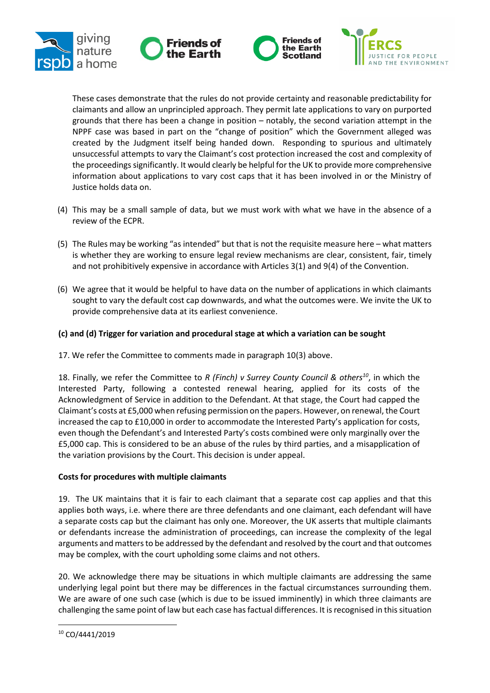







These cases demonstrate that the rules do not provide certainty and reasonable predictability for claimants and allow an unprincipled approach. They permit late applications to vary on purported grounds that there has been a change in position – notably, the second variation attempt in the NPPF case was based in part on the "change of position" which the Government alleged was created by the Judgment itself being handed down. Responding to spurious and ultimately unsuccessful attempts to vary the Claimant's cost protection increased the cost and complexity of the proceedingssignificantly. It would clearly be helpful for the UK to provide more comprehensive information about applications to vary cost caps that it has been involved in or the Ministry of Justice holds data on.

- (4) This may be a small sample of data, but we must work with what we have in the absence of a review of the ECPR.
- (5) The Rules may be working "as intended" but that is not the requisite measure here what matters is whether they are working to ensure legal review mechanisms are clear, consistent, fair, timely and not prohibitively expensive in accordance with Articles 3(1) and 9(4) of the Convention.
- (6) We agree that it would be helpful to have data on the number of applications in which claimants sought to vary the default cost cap downwards, and what the outcomes were. We invite the UK to provide comprehensive data at its earliest convenience.

# **(c) and (d) Trigger for variation and procedural stage at which a variation can be sought**

17. We refer the Committee to comments made in paragraph 10(3) above.

18. Finally, we refer the Committee to *R (Finch) v Surrey County Council & others<sup>10</sup>*, in which the Interested Party, following a contested renewal hearing, applied for its costs of the Acknowledgment of Service in addition to the Defendant. At that stage, the Court had capped the Claimant's costs at £5,000 when refusing permission on the papers. However, on renewal, the Court increased the cap to £10,000 in order to accommodate the Interested Party's application for costs, even though the Defendant's and Interested Party's costs combined were only marginally over the £5,000 cap. This is considered to be an abuse of the rules by third parties, and a misapplication of the variation provisions by the Court. This decision is under appeal.

# **Costs for procedures with multiple claimants**

19. The UK maintains that it is fair to each claimant that a separate cost cap applies and that this applies both ways, i.e. where there are three defendants and one claimant, each defendant will have a separate costs cap but the claimant has only one. Moreover, the UK asserts that multiple claimants or defendants increase the administration of proceedings, can increase the complexity of the legal arguments and matters to be addressed by the defendant and resolved by the court and that outcomes may be complex, with the court upholding some claims and not others.

20. We acknowledge there may be situations in which multiple claimants are addressing the same underlying legal point but there may be differences in the factual circumstances surrounding them. We are aware of one such case (which is due to be issued imminently) in which three claimants are challenging the same point of law but each case has factual differences. It is recognised in this situation

<sup>10</sup> CO/4441/2019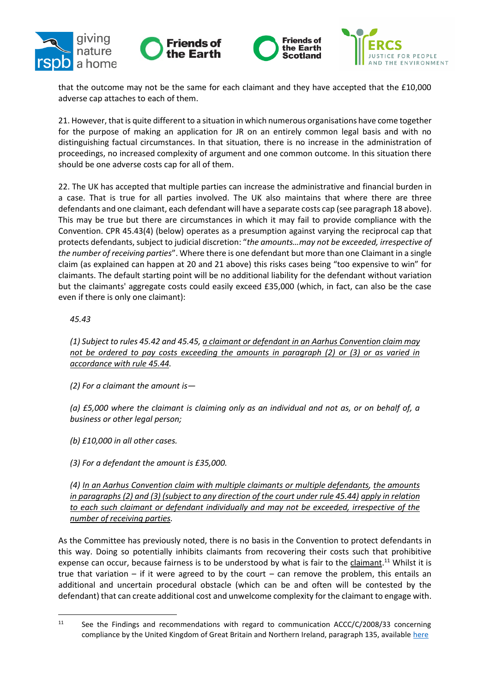







that the outcome may not be the same for each claimant and they have accepted that the £10,000 adverse cap attaches to each of them.

21. However, that is quite different to a situation in which numerous organisations have come together for the purpose of making an application for JR on an entirely common legal basis and with no distinguishing factual circumstances. In that situation, there is no increase in the administration of proceedings, no increased complexity of argument and one common outcome. In this situation there should be one adverse costs cap for all of them.

22. The UK has accepted that multiple parties can increase the administrative and financial burden in a case. That is true for all parties involved. The UK also maintains that where there are three defendants and one claimant, each defendant will have a separate costs cap (see paragraph 18 above). This may be true but there are circumstances in which it may fail to provide compliance with the Convention. CPR 45.43(4) (below) operates as a presumption against varying the reciprocal cap that protects defendants, subject to judicial discretion: "*the amounts…may not be exceeded, irrespective of the number of receiving parties*". Where there is one defendant but more than one Claimant in a single claim (as explained can happen at 20 and 21 above) this risks cases being "too expensive to win" for claimants. The default starting point will be no additional liability for the defendant without variation but the claimants' aggregate costs could easily exceed £35,000 (which, in fact, can also be the case even if there is only one claimant):

### *45.43*

*(1) Subject to rules 45.42 and 45.45, a claimant or defendant in an Aarhus Convention claim may not be ordered to pay costs exceeding the amounts in paragraph (2) or (3) or as varied in accordance with rule 45.44.*

*(2) For a claimant the amount is—*

*(a) £5,000 where the claimant is claiming only as an individual and not as, or on behalf of, a business or other legal person;*

*(b) £10,000 in all other cases.*

*(3) For a defendant the amount is £35,000.*

*(4) In an Aarhus Convention claim with multiple claimants or multiple defendants, the amounts in paragraphs (2) and (3) (subject to any direction of the court under rule 45.44) apply in relation to each such claimant or defendant individually and may not be exceeded, irrespective of the number of receiving parties.*

As the Committee has previously noted, there is no basis in the Convention to protect defendants in this way. Doing so potentially inhibits claimants from recovering their costs such that prohibitive expense can occur, because fairness is to be understood by what is fair to the claimant.<sup>11</sup> Whilst it is true that variation – if it were agreed to by the court – can remove the problem, this entails an additional and uncertain procedural obstacle (which can be and often will be contested by the defendant) that can create additional cost and unwelcome complexity for the claimant to engage with.

<sup>&</sup>lt;sup>11</sup> See the Findings and recommendations with regard to communication ACCC/C/2008/33 concerning compliance by the United Kingdom of Great Britain and Northern Ireland, paragraph 135, available [here](https://www.unece.org/fileadmin/DAM/env/pp/compliance/C2008-33/Findings/ece_mp.pp_c.1_2010_6_add.3_eng.pdf)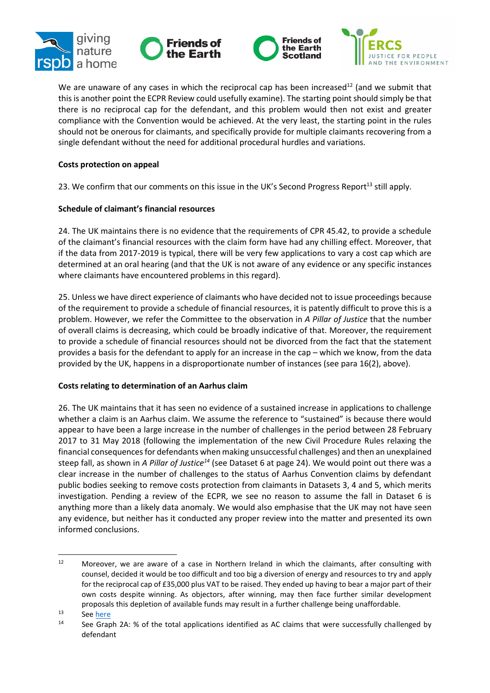







We are unaware of any cases in which the reciprocal cap has been increased<sup>12</sup> (and we submit that this is another point the ECPR Review could usefully examine). The starting point should simply be that there is no reciprocal cap for the defendant, and this problem would then not exist and greater compliance with the Convention would be achieved. At the very least, the starting point in the rules should not be onerous for claimants, and specifically provide for multiple claimants recovering from a single defendant without the need for additional procedural hurdles and variations.

### **Costs protection on appeal**

23. We confirm that our comments on this issue in the UK's Second Progress Report<sup>13</sup> still apply.

### **Schedule of claimant's financial resources**

24. The UK maintains there is no evidence that the requirements of CPR 45.42, to provide a schedule of the claimant's financial resources with the claim form have had any chilling effect. Moreover, that if the data from 2017-2019 is typical, there will be very few applications to vary a cost cap which are determined at an oral hearing (and that the UK is not aware of any evidence or any specific instances where claimants have encountered problems in this regard).

25. Unless we have direct experience of claimants who have decided not to issue proceedings because of the requirement to provide a schedule of financial resources, it is patently difficult to prove this is a problem. However, we refer the Committee to the observation in *A Pillar of Justice* that the number of overall claims is decreasing, which could be broadly indicative of that. Moreover, the requirement to provide a schedule of financial resources should not be divorced from the fact that the statement provides a basis for the defendant to apply for an increase in the cap – which we know, from the data provided by the UK, happens in a disproportionate number of instances (see para 16(2), above).

# **Costs relating to determination of an Aarhus claim**

26. The UK maintains that it has seen no evidence of a sustained increase in applications to challenge whether a claim is an Aarhus claim. We assume the reference to "sustained" is because there would appear to have been a large increase in the number of challenges in the period between 28 February 2017 to 31 May 2018 (following the implementation of the new Civil Procedure Rules relaxing the financial consequences for defendants when making unsuccessful challenges) and then an unexplained steep fall, as shown in *A Pillar of Justice<sup>14</sup>* (see Dataset 6 at page 24). We would point out there was a clear increase in the number of challenges to the status of Aarhus Convention claims by defendant public bodies seeking to remove costs protection from claimants in Datasets 3, 4 and 5, which merits investigation. Pending a review of the ECPR, we see no reason to assume the fall in Dataset 6 is anything more than a likely data anomaly. We would also emphasise that the UK may not have seen any evidence, but neither has it conducted any proper review into the matter and presented its own informed conclusions.

<sup>&</sup>lt;sup>12</sup> Moreover, we are aware of a case in Northern Ireland in which the claimants, after consulting with counsel, decided it would be too difficult and too big a diversion of energy and resources to try and apply for the reciprocal cap of £35,000 plus VAT to be raised. They ended up having to bear a major part of their own costs despite winning. As objectors, after winning, may then face further similar development proposals this depletion of available funds may result in a further challenge being unaffordable.

<sup>13</sup> See [here](https://www.unece.org/fileadmin/DAM/env/pp/compliance/MoP6decisions/VI.8k_UK/Correspondence_with_Observer/frObs_RSPB_etc_VI.8k_13.03.2020.pdf)

<sup>&</sup>lt;sup>14</sup> See Graph 2A: % of the total applications identified as AC claims that were successfully challenged by defendant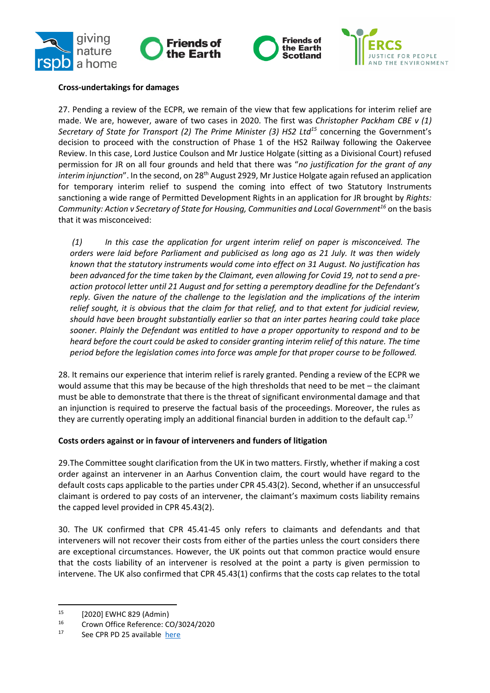







## **Cross-undertakings for damages**

27. Pending a review of the ECPR, we remain of the view that few applications for interim relief are made. We are, however, aware of two cases in 2020. The first was *Christopher Packham CBE v (1) Secretary of State for Transport (2) The Prime Minister (3) HS2 Ltd<sup>15</sup>* concerning the Government's decision to proceed with the construction of Phase 1 of the HS2 Railway following the Oakervee Review. In this case, Lord Justice Coulson and Mr Justice Holgate (sitting as a Divisional Court) refused permission for JR on all four grounds and held that there was "*no justification for the grant of any*  interim injunction". In the second, on 28<sup>th</sup> August 2929, Mr Justice Holgate again refused an application for temporary interim relief to suspend the coming into effect of two Statutory Instruments sanctioning a wide range of Permitted Development Rights in an application for JR brought by *Rights: Community: Action v Secretary of State for Housing, Communities and Local Government<sup>16</sup>* on the basis that it was misconceived:

*(1) In this case the application for urgent interim relief on paper is misconceived. The orders were laid before Parliament and publicised as long ago as 21 July. It was then widely known that the statutory instruments would come into effect on 31 August. No justification has been advanced for the time taken by the Claimant, even allowing for Covid 19, not to send a preaction protocol letter until 21 August and for setting a peremptory deadline for the Defendant's reply. Given the nature of the challenge to the legislation and the implications of the interim relief sought, it is obvious that the claim for that relief, and to that extent for judicial review, should have been brought substantially earlier so that an inter partes hearing could take place sooner. Plainly the Defendant was entitled to have a proper opportunity to respond and to be heard before the court could be asked to consider granting interim relief of this nature. The time period before the legislation comes into force was ample for that proper course to be followed.*

28. It remains our experience that interim relief is rarely granted. Pending a review of the ECPR we would assume that this may be because of the high thresholds that need to be met – the claimant must be able to demonstrate that there is the threat of significant environmental damage and that an injunction is required to preserve the factual basis of the proceedings. Moreover, the rules as they are currently operating imply an additional financial burden in addition to the default cap.<sup>17</sup>

#### **Costs orders against or in favour of interveners and funders of litigation**

29.The Committee sought clarification from the UK in two matters. Firstly, whether if making a cost order against an intervener in an Aarhus Convention claim, the court would have regard to the default costs caps applicable to the parties under CPR 45.43(2). Second, whether if an unsuccessful claimant is ordered to pay costs of an intervener, the claimant's maximum costs liability remains the capped level provided in CPR 45.43(2).

30. The UK confirmed that CPR 45.41-45 only refers to claimants and defendants and that interveners will not recover their costs from either of the parties unless the court considers there are exceptional circumstances. However, the UK points out that common practice would ensure that the costs liability of an intervener is resolved at the point a party is given permission to intervene. The UK also confirmed that CPR 45.43(1) confirms that the costs cap relates to the total

<sup>15</sup> [2020] EWHC 829 (Admin)

<sup>&</sup>lt;sup>16</sup> Crown Office Reference: CO/3024/2020

See CPR PD 25 available [here](https://www.justice.gov.uk/courts/procedure-rules/civil/rules/part25/pd_part25a)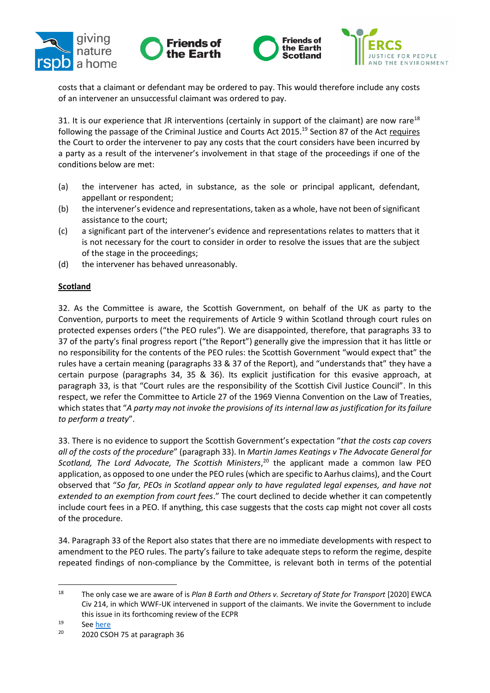







costs that a claimant or defendant may be ordered to pay. This would therefore include any costs of an intervener an unsuccessful claimant was ordered to pay.

31. It is our experience that JR interventions (certainly in support of the claimant) are now rare<sup>18</sup> following the passage of the Criminal Justice and Courts Act 2015.<sup>19</sup> Section 87 of the Act requires the Court to order the intervener to pay any costs that the court considers have been incurred by a party as a result of the intervener's involvement in that stage of the proceedings if one of the conditions below are met:

- (a) the intervener has acted, in substance, as the sole or principal applicant, defendant, appellant or respondent;
- (b) the intervener's evidence and representations, taken as a whole, have not been of significant assistance to the court;
- (c) a significant part of the intervener's evidence and representations relates to matters that it is not necessary for the court to consider in order to resolve the issues that are the subject of the stage in the proceedings;
- (d) the intervener has behaved unreasonably.

# **Scotland**

32. As the Committee is aware, the Scottish Government, on behalf of the UK as party to the Convention, purports to meet the requirements of Article 9 within Scotland through court rules on protected expenses orders ("the PEO rules"). We are disappointed, therefore, that paragraphs 33 to 37 of the party's final progress report ("the Report") generally give the impression that it has little or no responsibility for the contents of the PEO rules: the Scottish Government "would expect that" the rules have a certain meaning (paragraphs 33 & 37 of the Report), and "understands that" they have a certain purpose (paragraphs 34, 35 & 36). Its explicit justification for this evasive approach, at paragraph 33, is that "Court rules are the responsibility of the Scottish Civil Justice Council". In this respect, we refer the Committee to Article 27 of the 1969 Vienna Convention on the Law of Treaties, which states that "*A party may not invoke the provisions of its internal law as justification for its failure to perform a treaty*".

33. There is no evidence to support the Scottish Government's expectation "*that the costs cap covers all of the costs of the procedure*" (paragraph 33). In *Martin James Keatings v The Advocate General for*  Scotland, The Lord Advocate, The Scottish Ministers,<sup>20</sup> the applicant made a common law PEO application, as opposed to one under the PEO rules (which are specific to Aarhus claims), and the Court observed that "*So far, PEOs in Scotland appear only to have regulated legal expenses, and have not extended to an exemption from court fees*." The court declined to decide whether it can competently include court fees in a PEO. If anything, this case suggests that the costs cap might not cover all costs of the procedure.

34. Paragraph 33 of the Report also states that there are no immediate developments with respect to amendment to the PEO rules. The party's failure to take adequate steps to reform the regime, despite repeated findings of non-compliance by the Committee, is relevant both in terms of the potential

<sup>&</sup>lt;sup>18</sup> The only case we are aware of is *Plan B Earth and Others v. Secretary of State for Transport* [2020] EWCA Civ 214, in which WWF-UK intervened in support of the claimants. We invite the Government to include this issue in its forthcoming review of the ECPR

 $19$  See <u>here</u><br> $20$  2020 CSC

<sup>20</sup> 2020 CSOH 75 at paragraph 36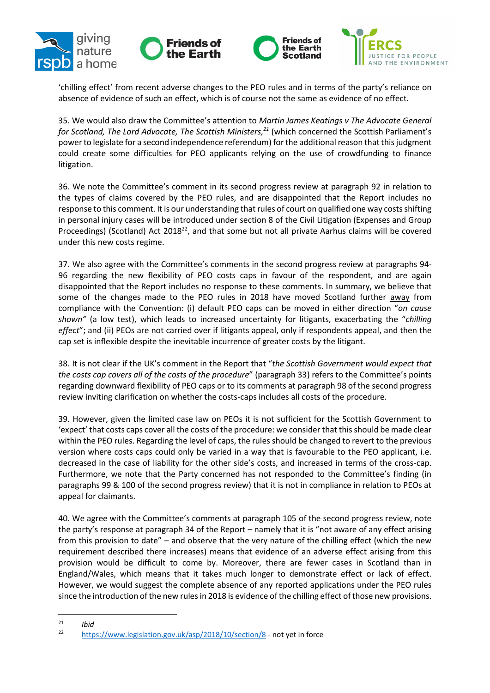







'chilling effect' from recent adverse changes to the PEO rules and in terms of the party's reliance on absence of evidence of such an effect, which is of course not the same as evidence of no effect.

35. We would also draw the Committee's attention to *Martin James Keatings v The Advocate General for Scotland, The Lord Advocate, The Scottish Ministers, <sup>21</sup>* (which concerned the Scottish Parliament's power to legislate for a second independence referendum) for the additional reason that this judgment could create some difficulties for PEO applicants relying on the use of crowdfunding to finance litigation.

36. We note the Committee's comment in its second progress review at paragraph 92 in relation to the types of claims covered by the PEO rules, and are disappointed that the Report includes no response to this comment. It is our understanding that rules of court on qualified one way costs shifting in personal injury cases will be introduced under section 8 of the Civil Litigation (Expenses and Group Proceedings) (Scotland) Act 2018<sup>22</sup>, and that some but not all private Aarhus claims will be covered under this new costs regime.

37. We also agree with the Committee's comments in the second progress review at paragraphs 94- 96 regarding the new flexibility of PEO costs caps in favour of the respondent, and are again disappointed that the Report includes no response to these comments. In summary, we believe that some of the changes made to the PEO rules in 2018 have moved Scotland further away from compliance with the Convention: (i) default PEO caps can be moved in either direction "*on cause shown"* (a low test), which leads to increased uncertainty for litigants, exacerbating the "*chilling effect*"; and (ii) PEOs are not carried over if litigants appeal, only if respondents appeal, and then the cap set is inflexible despite the inevitable incurrence of greater costs by the litigant.

38. It is not clear if the UK's comment in the Report that "*the Scottish Government would expect that the costs cap covers all of the costs of the procedure*" (paragraph 33) refers to the Committee's points regarding downward flexibility of PEO caps or to its comments at paragraph 98 of the second progress review inviting clarification on whether the costs-caps includes all costs of the procedure.

39. However, given the limited case law on PEOs it is not sufficient for the Scottish Government to 'expect' that costs caps cover all the costs of the procedure: we consider that this should be made clear within the PEO rules. Regarding the level of caps, the rules should be changed to revert to the previous version where costs caps could only be varied in a way that is favourable to the PEO applicant, i.e. decreased in the case of liability for the other side's costs, and increased in terms of the cross-cap. Furthermore, we note that the Party concerned has not responded to the Committee's finding (in paragraphs 99 & 100 of the second progress review) that it is not in compliance in relation to PEOs at appeal for claimants.

40. We agree with the Committee's comments at paragraph 105 of the second progress review, note the party's response at paragraph 34 of the Report – namely that it is "not aware of any effect arising from this provision to date" – and observe that the very nature of the chilling effect (which the new requirement described there increases) means that evidence of an adverse effect arising from this provision would be difficult to come by. Moreover, there are fewer cases in Scotland than in England/Wales, which means that it takes much longer to demonstrate effect or lack of effect. However, we would suggest the complete absence of any reported applications under the PEO rules since the introduction of the new rules in 2018 is evidence ofthe chilling effect of those new provisions.

 $\frac{21}{22}$  *Ibid* 

<https://www.legislation.gov.uk/asp/2018/10/section/8> - not yet in force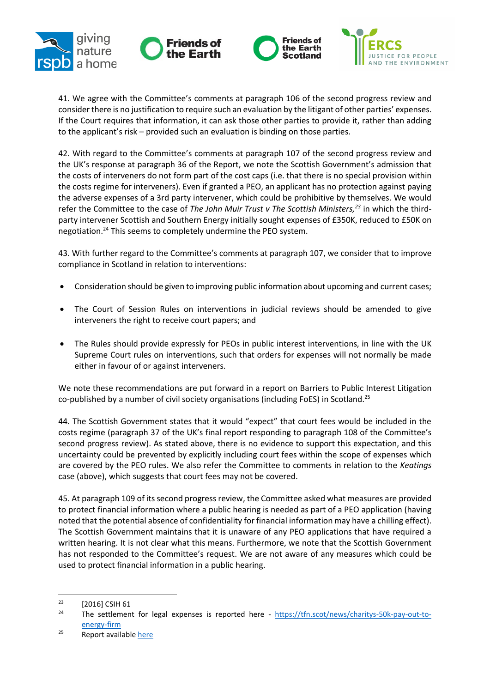







41. We agree with the Committee's comments at paragraph 106 of the second progress review and consider there is no justification to require such an evaluation by the litigant of other parties' expenses. If the Court requires that information, it can ask those other parties to provide it, rather than adding to the applicant's risk – provided such an evaluation is binding on those parties.

42. With regard to the Committee's comments at paragraph 107 of the second progress review and the UK's response at paragraph 36 of the Report, we note the Scottish Government's admission that the costs of interveners do not form part of the cost caps (i.e. that there is no special provision within the costs regime for interveners). Even if granted a PEO, an applicant has no protection against paying the adverse expenses of a 3rd party intervener, which could be prohibitive by themselves. We would refer the Committee to the case of *The John Muir Trust v The Scottish Ministers,<sup>23</sup>* in which the thirdparty intervener Scottish and Southern Energy initially sought expenses of £350K, reduced to £50K on negotiation.<sup>24</sup> This seems to completely undermine the PEO system.

43. With further regard to the Committee's comments at paragraph 107, we consider that to improve compliance in Scotland in relation to interventions:

- Consideration should be given to improving public information about upcoming and current cases;
- The Court of Session Rules on interventions in judicial reviews should be amended to give interveners the right to receive court papers; and
- The Rules should provide expressly for PEOs in public interest interventions, in line with the UK Supreme Court rules on interventions, such that orders for expenses will not normally be made either in favour of or against interveners.

We note these recommendations are put forward in a report on Barriers to Public Interest Litigation co-published by a number of civil society organisations (including FoES) in Scotland.<sup>25</sup>

44. The Scottish Government states that it would "expect" that court fees would be included in the costs regime (paragraph 37 of the UK's final report responding to paragraph 108 of the Committee's second progress review). As stated above, there is no evidence to support this expectation, and this uncertainty could be prevented by explicitly including court fees within the scope of expenses which are covered by the PEO rules. We also refer the Committee to comments in relation to the *Keatings* case (above), which suggests that court fees may not be covered.

45. At paragraph 109 of its second progress review, the Committee asked what measures are provided to protect financial information where a public hearing is needed as part of a PEO application (having noted that the potential absence of confidentiality for financial information may have a chilling effect). The Scottish Government maintains that it is unaware of any PEO applications that have required a written hearing. It is not clear what this means. Furthermore, we note that the Scottish Government has not responded to the Committee's request. We are not aware of any measures which could be used to protect financial information in a public hearing.

 $^{23}$  [2016] CSIH 61

The settlement for legal expenses is reported here - [https://tfn.scot/news/charitys-50k-pay-out-to](https://tfn.scot/news/charitys-50k-pay-out-to-energy-firm)[energy-firm](https://tfn.scot/news/charitys-50k-pay-out-to-energy-firm)

 $25$  Report availabl[e here](https://foe.scot/resource/overcoming-barriers-public-interest-litigation-scotland/)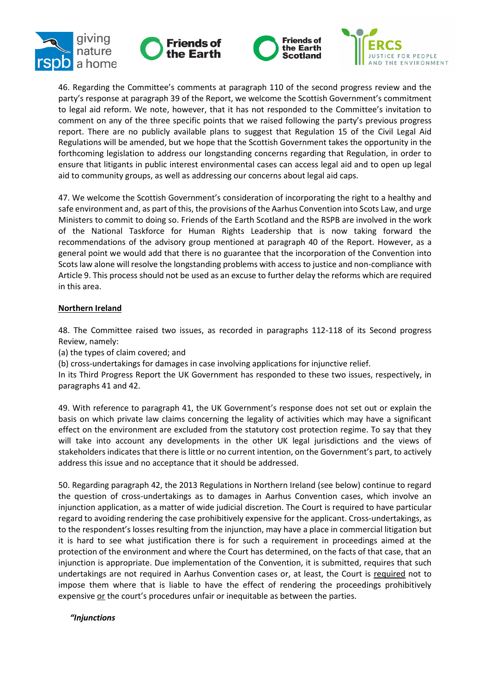







46. Regarding the Committee's comments at paragraph 110 of the second progress review and the party's response at paragraph 39 of the Report, we welcome the Scottish Government's commitment to legal aid reform. We note, however, that it has not responded to the Committee's invitation to comment on any of the three specific points that we raised following the party's previous progress report. There are no publicly available plans to suggest that Regulation 15 of the Civil Legal Aid Regulations will be amended, but we hope that the Scottish Government takes the opportunity in the forthcoming legislation to address our longstanding concerns regarding that Regulation, in order to ensure that litigants in public interest environmental cases can access legal aid and to open up legal aid to community groups, as well as addressing our concerns about legal aid caps.

47. We welcome the Scottish Government's consideration of incorporating the right to a healthy and safe environment and, as part of this, the provisions of the Aarhus Convention into Scots Law, and urge Ministers to commit to doing so. Friends of the Earth Scotland and the RSPB are involved in the work of the National Taskforce for Human Rights Leadership that is now taking forward the recommendations of the advisory group mentioned at paragraph 40 of the Report. However, as a general point we would add that there is no guarantee that the incorporation of the Convention into Scots law alone will resolve the longstanding problems with access to justice and non-compliance with Article 9. This process should not be used as an excuse to further delay the reforms which are required in this area.

# **Northern Ireland**

48. The Committee raised two issues, as recorded in paragraphs 112-118 of its Second progress Review, namely:

(a) the types of claim covered; and

(b) cross-undertakings for damages in case involving applications for injunctive relief.

In its Third Progress Report the UK Government has responded to these two issues, respectively, in paragraphs 41 and 42.

49. With reference to paragraph 41, the UK Government's response does not set out or explain the basis on which private law claims concerning the legality of activities which may have a significant effect on the environment are excluded from the statutory cost protection regime. To say that they will take into account any developments in the other UK legal jurisdictions and the views of stakeholders indicates that there is little or no current intention, on the Government's part, to actively address this issue and no acceptance that it should be addressed.

50. Regarding paragraph 42, the 2013 Regulations in Northern Ireland (see below) continue to regard the question of cross-undertakings as to damages in Aarhus Convention cases, which involve an injunction application, as a matter of wide judicial discretion. The Court is required to have particular regard to avoiding rendering the case prohibitively expensive for the applicant. Cross-undertakings, as to the respondent's losses resulting from the injunction, may have a place in commercial litigation but it is hard to see what justification there is for such a requirement in proceedings aimed at the protection of the environment and where the Court has determined, on the facts of that case, that an injunction is appropriate. Due implementation of the Convention, it is submitted, requires that such undertakings are not required in Aarhus Convention cases or, at least, the Court is required not to impose them where that is liable to have the effect of rendering the proceedings prohibitively expensive or the court's procedures unfair or inequitable as between the parties.

*"Injunctions*